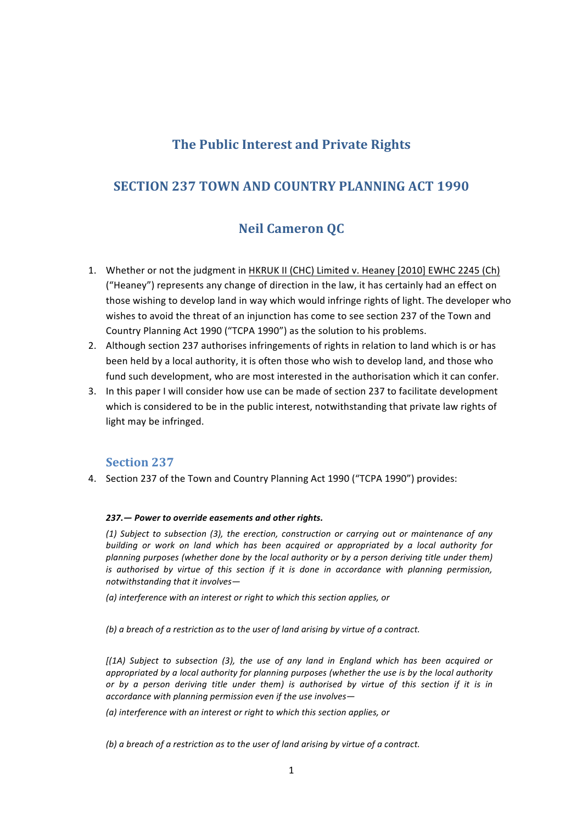# **The Public Interest and Private Rights**

# **SECTION 237 TOWN AND COUNTRY PLANNING ACT 1990**

# **Neil Cameron QC**

- 1. Whether or not the judgment in HKRUK II (CHC) Limited v. Heaney [2010] EWHC 2245 (Ch) ("Heaney") represents any change of direction in the law, it has certainly had an effect on those wishing to develop land in way which would infringe rights of light. The developer who wishes to avoid the threat of an injunction has come to see section 237 of the Town and Country Planning Act 1990 ("TCPA 1990") as the solution to his problems.
- 2. Although section 237 authorises infringements of rights in relation to land which is or has been held by a local authority, it is often those who wish to develop land, and those who fund such development, who are most interested in the authorisation which it can confer.
- 3. In this paper I will consider how use can be made of section 237 to facilitate development which is considered to be in the public interest, notwithstanding that private law rights of light may be infringed.

## **Section 237**

4. Section 237 of the Town and Country Planning Act 1990 ("TCPA 1990") provides:

### 237. - Power to override easements and other rights.

*(1) Subject to subsection (3), the erection, construction or carrying out or maintenance of any building* or work on land which has been acquired or appropriated by a local authority for *planning purposes (whether done by the local authority or by a person deriving title under them) is* authorised by virtue of this section if it is done in accordance with planning permission, *notwithstanding that it involves-*

*(a) interference with an interest or right to which this section applies, or*

(b) a breach of a restriction as to the user of land arising by virtue of a contract.

*[(1A) Subject to subsection (3), the use of any land in England which has been acquired or appropriated by a local authority for planning purposes (whether the use is by the local authority or* by a person deriving title under them) is authorised by virtue of this section if it is in *accordance with planning permission even if the use involves—*

*(a)* interference with an interest or right to which this section applies, or

*(b)* a breach of a restriction as to the user of land arising by virtue of a contract.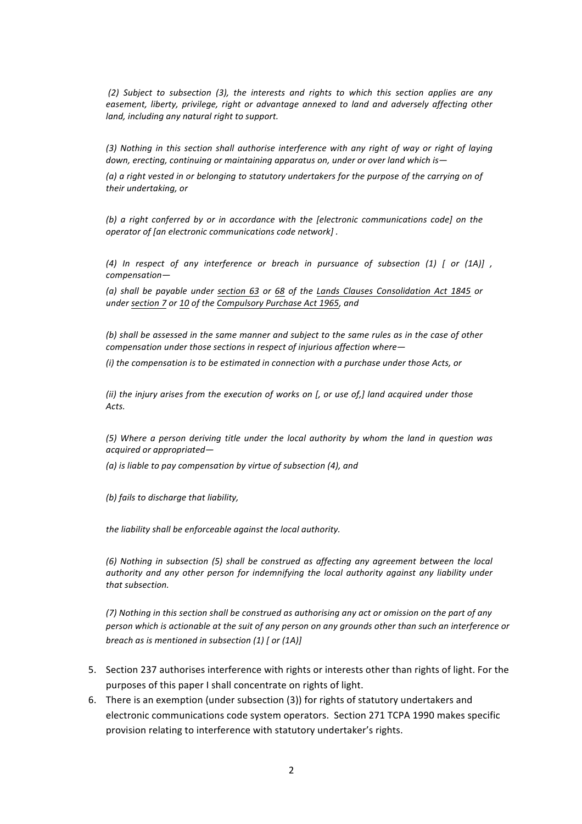(2) Subject to subsection (3), the interests and rights to which this section applies are any easement, liberty, privilege, right or advantage annexed to land and adversely affecting other *land, including any natural right to support.* 

(3) Nothing in this section shall authorise interference with any right of way or right of laying *down, erecting, continuing or maintaining apparatus on, under or over land which is*—

(a) a right vested in or belonging to statutory undertakers for the purpose of the carrying on of *their undertaking, or*

*(b)* a right conferred by or in accordance with the *[electronic communications code]* on the *operator of [an electronic communications code network]*.

*(4) In respect of any interference or breach in pursuance of subsection (1) [ or (1A)] , compensation—*

*(a) shall be payable under section 63 or 68 of the Lands Clauses Consolidation Act 1845 or under section 7 or 10 of the Compulsory Purchase Act 1965, and*

(b) shall be assessed in the same manner and subject to the same rules as in the case of other *compensation under those sections in respect of injurious affection where-*

*(i)* the compensation is to be estimated in connection with a purchase under those Acts, or

*(ii)* the injury arises from the execution of works on [, or use of,] land acquired under those *Acts.* 

*(5)* Where a person deriving title under the local authority by whom the land in question was *acquired or appropriated—*

(a) is liable to pay compensation by virtue of subsection (4), and

*(b) fails to discharge that liability,*

the liability shall be enforceable against the local authority.

*(6)* Nothing in subsection (5) shall be construed as affecting any agreement between the local *authority* and any other person for indemnifying the local authority against any liability under that subsection.

(7) Nothing in this section shall be construed as authorising any act or omission on the part of any *person which is actionable at the suit of any person on any grounds other than such an interference or breach as is mentioned in subsection (1)* [ or (1A)]

- 5. Section 237 authorises interference with rights or interests other than rights of light. For the purposes of this paper I shall concentrate on rights of light.
- 6. There is an exemption (under subsection (3)) for rights of statutory undertakers and electronic communications code system operators. Section 271 TCPA 1990 makes specific provision relating to interference with statutory undertaker's rights.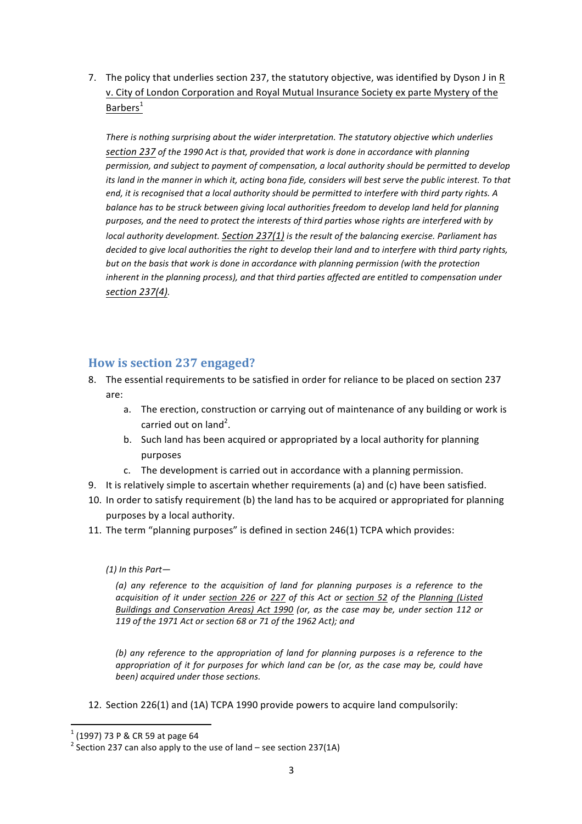7. The policy that underlies section 237, the statutory objective, was identified by Dyson J in R v. City of London Corporation and Royal Mutual Insurance Society ex parte Mystery of the Barbers $<sup>1</sup>$ </sup>

There is nothing surprising about the wider interpretation. The statutory objective which underlies section 237 of the 1990 Act is that, provided that work is done in accordance with planning permission, and subject to payment of compensation, a local authority should be permitted to develop *its land in the manner in which it, acting bona fide, considers will best serve the public interest. To that end, it is recognised that a local authority should be permitted to interfere with third party rights.* A balance has to be struck between giving local authorities freedom to develop land held for planning purposes, and the need to protect the interests of third parties whose rights are interfered with by *local authority development.* Section 237(1) is the result of the balancing exercise. Parliament has *decided to give local authorities the right to develop their land and to interfere with third party rights,* but on the basis that work is done in accordance with planning permission (with the protection *inherent in the planning process), and that third parties affected are entitled to compensation under section 237(4).*

## **How is section 237 engaged?**

- 8. The essential requirements to be satisfied in order for reliance to be placed on section 237 are:
	- a. The erection, construction or carrying out of maintenance of any building or work is carried out on land<sup>2</sup>.
	- b. Such land has been acquired or appropriated by a local authority for planning purposes
	- c. The development is carried out in accordance with a planning permission.
- 9. It is relatively simple to ascertain whether requirements (a) and (c) have been satisfied.
- 10. In order to satisfy requirement (b) the land has to be acquired or appropriated for planning purposes by a local authority.
- 11. The term "planning purposes" is defined in section 246(1) TCPA which provides:

### *(1) In this Part—*

(a) any reference to the acquisition of land for planning purposes is a reference to the *acquisition of it under section 226 or 227 of this Act or section 52 of the Planning (Listed Buildings and Conservation Areas)* Act 1990 (or, as the case may be, under section 112 or 119 of the 1971 Act or section 68 or 71 of the 1962 Act); and

*(b)* any reference to the appropriation of land for planning purposes is a reference to the *appropriation* of it for purposes for which land can be (or, as the case may be, could have *been)* acquired under those sections.

12. Section 226(1) and (1A) TCPA 1990 provide powers to acquire land compulsorily:

<sup>&</sup>lt;u> 1989 - Johann Stein, fransk politik (d. 1989)</u>

<sup>&</sup>lt;sup>1</sup> (1997) 73 P & CR 59 at page 64<br><sup>2</sup> Section 237 can also apply to the use of land – see section 237(1A)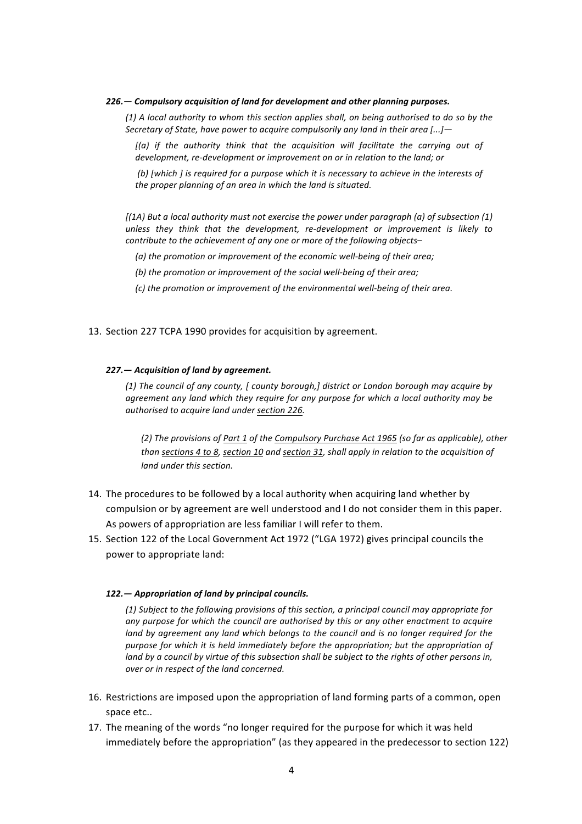#### 226. - Compulsory acquisition of land for development and other planning purposes.

(1) A local authority to whom this section applies shall, on being authorised to do so by the *Secretary of State, have power to acquire compulsorily any land in their area* [...]-

[(a) if the authority think that the acquisition will facilitate the carrying out of development, re-development or improvement on or in relation to the land; or

*(b)* [which *]* is required for a purpose which it is necessary to achieve in the interests of *the proper planning of an area in which the land is situated.* 

*[(1A)* But a local authority must not exercise the power under paragraph (a) of subsection (1) unless they think that the development, re-development or improvement is likely to *contribute to the achievement of any one or more of the following objects–* 

(a) the promotion or improvement of the economic well-being of their area;

(b) the promotion or improvement of the social well-being of their area;

*(c)* the promotion or improvement of the environmental well-being of their greg.

#### 13. Section 227 TCPA 1990 provides for acquisition by agreement.

#### 227. – Acquisition of land by agreement.

(1) The council of any county, [ county borough,] district or London borough may acquire by agreement any land which they require for any purpose for which a local authority may be *authorised to acquire land under section 226.*

(2) The provisions of Part 1 of the Compulsory Purchase Act 1965 (so far as applicable), other *than sections* 4 to 8, section 10 and section 31, shall apply in relation to the acquisition of *land under this section.* 

- 14. The procedures to be followed by a local authority when acquiring land whether by compulsion or by agreement are well understood and I do not consider them in this paper. As powers of appropriation are less familiar I will refer to them.
- 15. Section 122 of the Local Government Act 1972 ("LGA 1972) gives principal councils the power to appropriate land:

#### 122. — Appropriation of land by principal councils.

*(1) Subject to the following provisions of this section, a principal council may appropriate for*  any purpose for which the council are authorised by this or any other enactment to acquire *land by agreement any land which belongs to the council and is no longer required for the* purpose for which it is held immediately before the appropriation; but the appropriation of *land by a council by virtue of this subsection shall be subject to the rights of other persons in, over or in respect of the land concerned.* 

- 16. Restrictions are imposed upon the appropriation of land forming parts of a common, open space etc..
- 17. The meaning of the words "no longer required for the purpose for which it was held immediately before the appropriation" (as they appeared in the predecessor to section 122)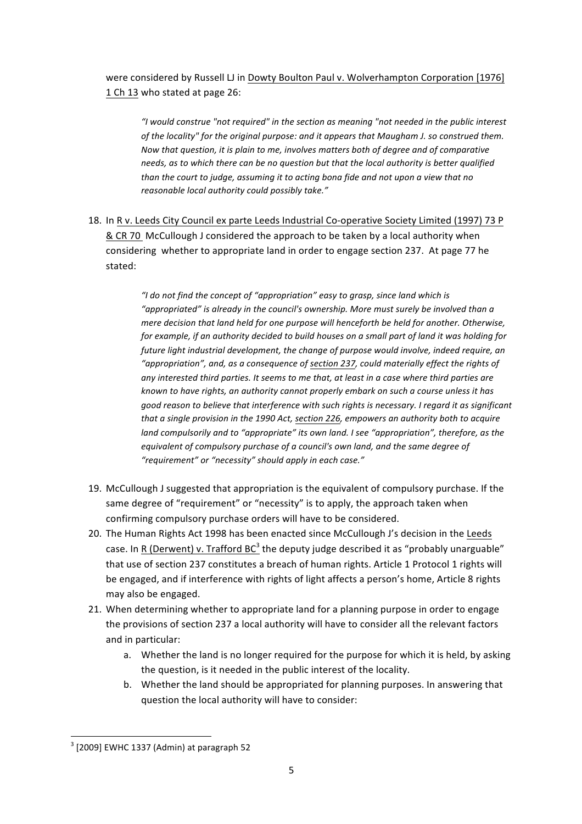were considered by Russell LJ in Dowty Boulton Paul v. Wolverhampton Corporation [1976] 1 Ch 13 who stated at page 26:

"I would construe "not required" in the section as meaning "not needed in the public interest *of the locality"* for the original purpose: and it appears that Maugham J. so construed them. *Now that question, it is plain to me, involves matters both of degree and of comparative* needs, as to which there can be no question but that the local authority is better qualified than the court to judge, assuming it to acting bona fide and not upon a view that no *reasonable local authority could possibly take."*

18. In R v. Leeds City Council ex parte Leeds Industrial Co-operative Society Limited (1997) 73 P & CR 70 McCullough J considered the approach to be taken by a local authority when considering whether to appropriate land in order to engage section 237. At page 77 he stated:

> "I do not find the concept of "appropriation" easy to grasp, since land which is "appropriated" is already in the council's ownership. More must surely be involved than a *mere decision that land held for one purpose will henceforth be held for another. Otherwise, for example, if an authority decided to build houses on a small part of land it was holding for* future light industrial development, the change of purpose would involve, indeed require, an "appropriation", and, as a consequence of section 237, could materially effect the rights of any interested third parties. It seems to me that, at least in a case where third parties are *known* to have rights, an authority cannot properly embark on such a course unless it has good reason to believe that interference with such rights is necessary. I regard it as significant *that a single provision in the 1990 Act, section 226, empowers an authority both to acquire land compulsorily and to "appropriate" its own land. I see "appropriation", therefore, as the* equivalent of compulsory purchase of a council's own land, and the same degree of *"requirement" or "necessity" should apply in each case."*

- 19. McCullough J suggested that appropriation is the equivalent of compulsory purchase. If the same degree of "requirement" or "necessity" is to apply, the approach taken when confirming compulsory purchase orders will have to be considered.
- 20. The Human Rights Act 1998 has been enacted since McCullough J's decision in the Leeds case. In R (Derwent) v. Trafford  $BC^3$  the deputy judge described it as "probably unarguable" that use of section 237 constitutes a breach of human rights. Article 1 Protocol 1 rights will be engaged, and if interference with rights of light affects a person's home, Article 8 rights may also be engaged.
- 21. When determining whether to appropriate land for a planning purpose in order to engage the provisions of section 237 a local authority will have to consider all the relevant factors and in particular:
	- a. Whether the land is no longer required for the purpose for which it is held, by asking the question, is it needed in the public interest of the locality.
	- b. Whether the land should be appropriated for planning purposes. In answering that question the local authority will have to consider:

 

 $3$  [2009] EWHC 1337 (Admin) at paragraph 52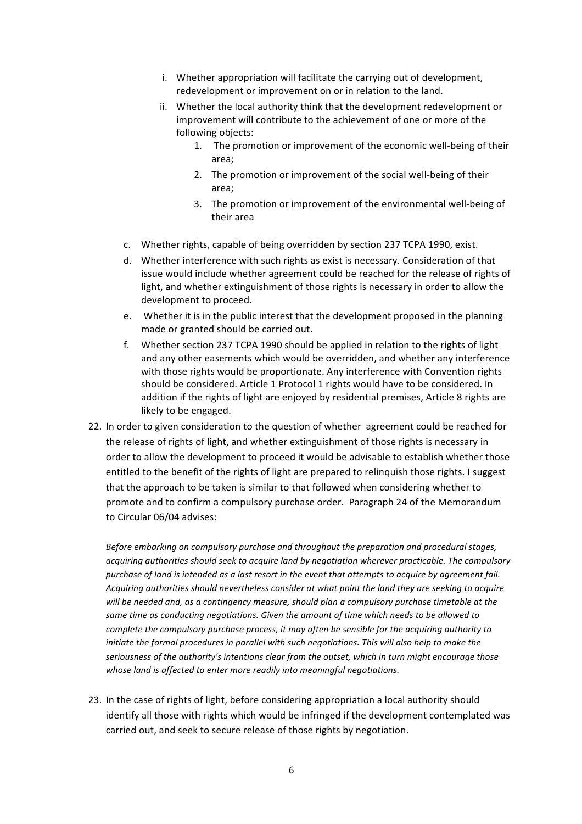- i. Whether appropriation will facilitate the carrying out of development, redevelopment or improvement on or in relation to the land.
- ii. Whether the local authority think that the development redevelopment or improvement will contribute to the achievement of one or more of the following objects:
	- 1. The promotion or improvement of the economic well-being of their area;
	- 2. The promotion or improvement of the social well-being of their area;
	- 3. The promotion or improvement of the environmental well-being of their area
- c. Whether rights, capable of being overridden by section 237 TCPA 1990, exist.
- d. Whether interference with such rights as exist is necessary. Consideration of that issue would include whether agreement could be reached for the release of rights of light, and whether extinguishment of those rights is necessary in order to allow the development to proceed.
- e. Whether it is in the public interest that the development proposed in the planning made or granted should be carried out.
- f. Whether section 237 TCPA 1990 should be applied in relation to the rights of light and any other easements which would be overridden, and whether any interference with those rights would be proportionate. Any interference with Convention rights should be considered. Article 1 Protocol 1 rights would have to be considered. In addition if the rights of light are enjoyed by residential premises, Article 8 rights are likely to be engaged.
- 22. In order to given consideration to the question of whether agreement could be reached for the release of rights of light, and whether extinguishment of those rights is necessary in order to allow the development to proceed it would be advisable to establish whether those entitled to the benefit of the rights of light are prepared to relinquish those rights. I suggest that the approach to be taken is similar to that followed when considering whether to promote and to confirm a compulsory purchase order. Paragraph 24 of the Memorandum to Circular 06/04 advises:

Before embarking on compulsory purchase and throughout the preparation and procedural stages, acquiring authorities should seek to acquire land by negotiation wherever practicable. The compulsory *purchase* of land is intended as a last resort in the event that attempts to acquire by agreement fail. Acquiring authorities should nevertheless consider at what point the land they are seeking to acquire will be needed and, as a contingency measure, should plan a compulsory purchase timetable at the same time as conducting negotiations. Given the amount of time which needs to be allowed to *complete the compulsory purchase process, it may often be sensible for the acquiring authority to initiate the formal procedures in parallel with such negotiations. This will also help to make the* seriousness of the authority's intentions clear from the outset, which in turn might encourage those whose land is affected to enter more readily into meaningful negotiations.

23. In the case of rights of light, before considering appropriation a local authority should identify all those with rights which would be infringed if the development contemplated was carried out, and seek to secure release of those rights by negotiation.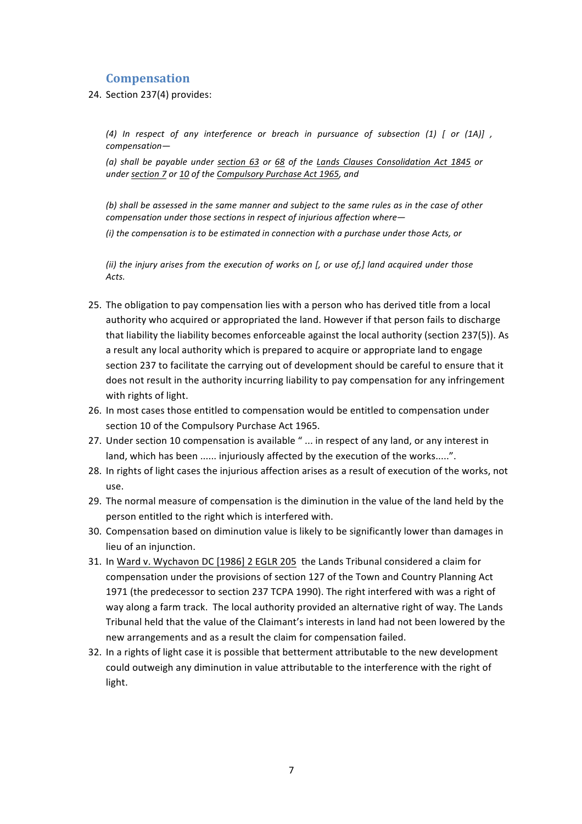## **Compensation**

24. Section 237(4) provides:

*(4) In respect of any interference or breach in pursuance of subsection (1) [ or (1A)] , compensation—*

*(a) shall be payable under section 63 or 68 of the Lands Clauses Consolidation Act 1845 or under section 7 or 10 of the Compulsory Purchase Act 1965, and* 

(b) shall be assessed in the same manner and subject to the same rules as in the case of other *compensation under those sections in respect of injurious affection where-(i)* the compensation is to be estimated in connection with a purchase under those Acts, or

*(ii)* the injury arises from the execution of works on [, or use of,] land acquired under those *Acts.* 

- 25. The obligation to pay compensation lies with a person who has derived title from a local authority who acquired or appropriated the land. However if that person fails to discharge that liability the liability becomes enforceable against the local authority (section 237(5)). As a result any local authority which is prepared to acquire or appropriate land to engage section 237 to facilitate the carrying out of development should be careful to ensure that it does not result in the authority incurring liability to pay compensation for any infringement with rights of light.
- 26. In most cases those entitled to compensation would be entitled to compensation under section 10 of the Compulsory Purchase Act 1965.
- 27. Under section 10 compensation is available "... in respect of any land, or any interest in land, which has been ...... injuriously affected by the execution of the works.....".
- 28. In rights of light cases the injurious affection arises as a result of execution of the works, not use.
- 29. The normal measure of compensation is the diminution in the value of the land held by the person entitled to the right which is interfered with.
- 30. Compensation based on diminution value is likely to be significantly lower than damages in lieu of an injunction.
- 31. In Ward v. Wychavon DC [1986] 2 EGLR 205 the Lands Tribunal considered a claim for compensation under the provisions of section 127 of the Town and Country Planning Act 1971 (the predecessor to section 237 TCPA 1990). The right interfered with was a right of way along a farm track. The local authority provided an alternative right of way. The Lands Tribunal held that the value of the Claimant's interests in land had not been lowered by the new arrangements and as a result the claim for compensation failed.
- 32. In a rights of light case it is possible that betterment attributable to the new development could outweigh any diminution in value attributable to the interference with the right of light.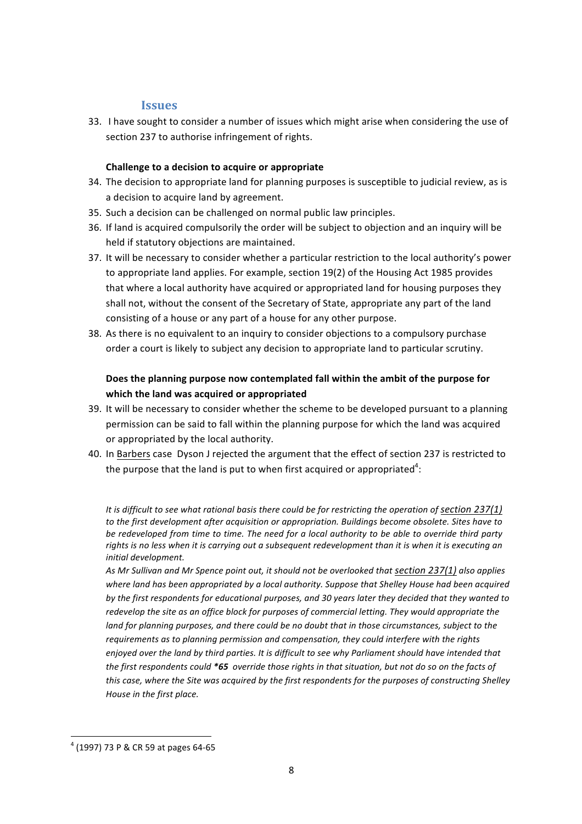## **Issues**

33. I have sought to consider a number of issues which might arise when considering the use of section 237 to authorise infringement of rights.

### **Challenge to a decision to acquire or appropriate**

- 34. The decision to appropriate land for planning purposes is susceptible to judicial review, as is a decision to acquire land by agreement.
- 35. Such a decision can be challenged on normal public law principles.
- 36. If land is acquired compulsorily the order will be subject to objection and an inquiry will be held if statutory objections are maintained.
- 37. It will be necessary to consider whether a particular restriction to the local authority's power to appropriate land applies. For example, section 19(2) of the Housing Act 1985 provides that where a local authority have acquired or appropriated land for housing purposes they shall not, without the consent of the Secretary of State, appropriate any part of the land consisting of a house or any part of a house for any other purpose.
- 38. As there is no equivalent to an inquiry to consider objections to a compulsory purchase order a court is likely to subject any decision to appropriate land to particular scrutiny.

## Does the planning purpose now contemplated fall within the ambit of the purpose for which the land was acquired or appropriated

- 39. It will be necessary to consider whether the scheme to be developed pursuant to a planning permission can be said to fall within the planning purpose for which the land was acquired or appropriated by the local authority.
- 40. In Barbers case Dyson J rejected the argument that the effect of section 237 is restricted to the purpose that the land is put to when first acquired or appropriated<sup>4</sup>:

It is difficult to see what rational basis there could be for restricting the operation of section 237(1) to the first development after acquisition or appropriation. Buildings become obsolete. Sites have to be redeveloped from time to time. The need for a local authority to be able to override third party rights is no less when it is carrying out a subsequent redevelopment than it is when it is executing an *initial development.*

As Mr Sullivan and Mr Spence point out, it should not be overlooked that section 237(1) also applies where land has been appropriated by a local authority. Suppose that Shelley House had been acquired by the first respondents for educational purposes, and 30 years later they decided that they wanted to redevelop the site as an office block for purposes of commercial letting. They would appropriate the *land for planning purposes, and there could be no doubt that in those circumstances, subject to the* requirements as to planning permission and compensation, they could interfere with the rights *enjoyed* over the land by third parties. It is difficult to see why Parliament should have intended that the first respondents could \*65 override those rights in that situation, but not do so on the facts of *this case, where the Site was acquired by the first respondents for the purposes of constructing Shelley House in the first place.*

  $4$  (1997) 73 P & CR 59 at pages 64-65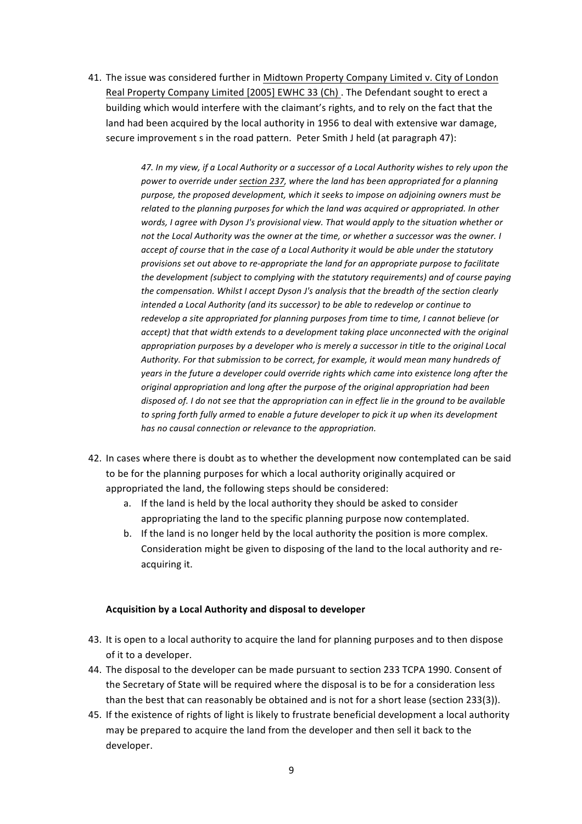41. The issue was considered further in Midtown Property Company Limited v. City of London Real Property Company Limited [2005] EWHC 33 (Ch) . The Defendant sought to erect a building which would interfere with the claimant's rights, and to rely on the fact that the land had been acquired by the local authority in 1956 to deal with extensive war damage, secure improvement s in the road pattern. Peter Smith J held (at paragraph 47):

> *47. In my view, if a Local Authority or a successor of a Local Authority wishes to rely upon the* power to override under section 237, where the land has been appropriated for a planning purpose, the proposed development, which it seeks to impose on adjoining owners must be *related to the planning purposes for which the land was acquired or appropriated. In other* words. I garee with Dyson J's provisional view. That would apply to the situation whether or not the Local Authority was the owner at the time, or whether a successor was the owner. I *accept* of course that in the case of a Local Authority it would be able under the statutory *provisions set out above to re-appropriate the land for an appropriate purpose to facilitate the development (subject to complying with the statutory requirements) and of course paying the compensation. Whilst I accept Dyson J's analysis that the breadth of the section clearly intended a Local Authority (and its successor)* to be able to redevelop or continue to redevelop a site appropriated for planning purposes from time to time, I cannot believe (or accept) that that width extends to a development taking place unconnected with the original *appropriation purposes by a developer who is merely a successor in title to the original Local* Authority. For that submission to be correct, for example, it would mean many hundreds of *years* in the future a developer could override rights which came into existence long after the *original appropriation and long after the purpose of the original appropriation had been* disposed of. I do not see that the appropriation can in effect lie in the ground to be available to spring forth fully armed to enable a future developer to pick it up when its development *has no causal connection or relevance to the appropriation.*

- 42. In cases where there is doubt as to whether the development now contemplated can be said to be for the planning purposes for which a local authority originally acquired or appropriated the land, the following steps should be considered:
	- a. If the land is held by the local authority they should be asked to consider appropriating the land to the specific planning purpose now contemplated.
	- b. If the land is no longer held by the local authority the position is more complex. Consideration might be given to disposing of the land to the local authority and reacquiring it.

### **Acquisition by a Local Authority and disposal to developer**

- 43. It is open to a local authority to acquire the land for planning purposes and to then dispose of it to a developer.
- 44. The disposal to the developer can be made pursuant to section 233 TCPA 1990. Consent of the Secretary of State will be required where the disposal is to be for a consideration less than the best that can reasonably be obtained and is not for a short lease (section 233(3)).
- 45. If the existence of rights of light is likely to frustrate beneficial development a local authority may be prepared to acquire the land from the developer and then sell it back to the developer.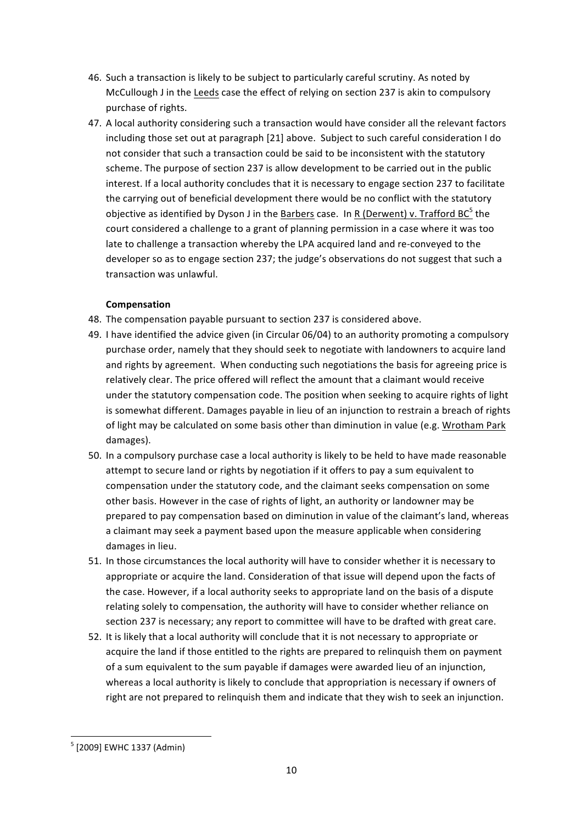- 46. Such a transaction is likely to be subject to particularly careful scrutiny. As noted by McCullough J in the Leeds case the effect of relying on section 237 is akin to compulsory purchase of rights.
- 47. A local authority considering such a transaction would have consider all the relevant factors including those set out at paragraph [21] above. Subject to such careful consideration I do not consider that such a transaction could be said to be inconsistent with the statutory scheme. The purpose of section 237 is allow development to be carried out in the public interest. If a local authority concludes that it is necessary to engage section 237 to facilitate the carrying out of beneficial development there would be no conflict with the statutory objective as identified by Dyson J in the Barbers case. In R (Derwent) v. Trafford BC $^5$  the court considered a challenge to a grant of planning permission in a case where it was too late to challenge a transaction whereby the LPA acquired land and re-conveyed to the developer so as to engage section 237; the judge's observations do not suggest that such a transaction was unlawful.

## **Compensation**

- 48. The compensation payable pursuant to section 237 is considered above.
- 49. I have identified the advice given (in Circular 06/04) to an authority promoting a compulsory purchase order, namely that they should seek to negotiate with landowners to acquire land and rights by agreement. When conducting such negotiations the basis for agreeing price is relatively clear. The price offered will reflect the amount that a claimant would receive under the statutory compensation code. The position when seeking to acquire rights of light is somewhat different. Damages payable in lieu of an injunction to restrain a breach of rights of light may be calculated on some basis other than diminution in value (e.g. Wrotham Park damages).
- 50. In a compulsory purchase case a local authority is likely to be held to have made reasonable attempt to secure land or rights by negotiation if it offers to pay a sum equivalent to compensation under the statutory code, and the claimant seeks compensation on some other basis. However in the case of rights of light, an authority or landowner may be prepared to pay compensation based on diminution in value of the claimant's land, whereas a claimant may seek a payment based upon the measure applicable when considering damages in lieu.
- 51. In those circumstances the local authority will have to consider whether it is necessary to appropriate or acquire the land. Consideration of that issue will depend upon the facts of the case. However, if a local authority seeks to appropriate land on the basis of a dispute relating solely to compensation, the authority will have to consider whether reliance on section 237 is necessary; any report to committee will have to be drafted with great care.
- 52. It is likely that a local authority will conclude that it is not necessary to appropriate or acquire the land if those entitled to the rights are prepared to relinquish them on payment of a sum equivalent to the sum payable if damages were awarded lieu of an injunction, whereas a local authority is likely to conclude that appropriation is necessary if owners of right are not prepared to relinquish them and indicate that they wish to seek an injunction.

 

 $5$  [2009] EWHC 1337 (Admin)